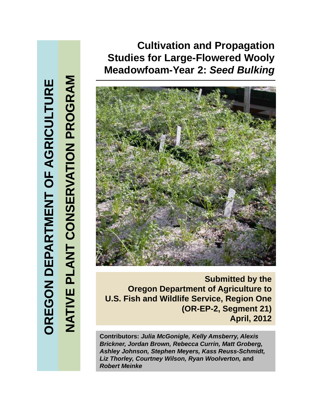# **Cultivation and Propagation Studies for Large-Flowered Wooly Meadowfoam-Year 2:** *Seed Bulking*



**Submitted by the Oregon Department of Agriculture to U.S. Fish and Wildlife Service, Region One (OR-EP-2, Segment 21) April, 2012**

**Contributors:** *Julia McGonigle, Kelly Amsberry, Alexis Brickner, Jordan Brown, Rebecca Currin, Matt Groberg, Ashley Johnson, Stephen Meyers, Kass Reuss-Schmidt, Liz Thorley, Courtney Wilson, Ryan Woolverton,* **and** *Robert Meinke*

**TURE GRICULT NT OF A G ARTME N ON DEPA OREG O** **GRAM G**

**ON PRO**

**O**

**ERVATI**

**T CONS T**

**VE PLAN**

**NATI**

**V**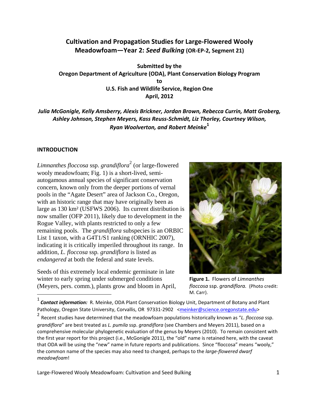# **Cultivation and Propagation Studies for Large‐Flowered Wooly Meadowfoam—Year 2:** *Seed Bulking* **(OR‐EP‐2, Segment 21)**

**Submitted by the Oregon Department of Agriculture (ODA), Plant Conservation Biology Program to U.S. Fish and Wildlife Service, Region One April, 2012**

*Julia McGonigle, Kelly Amsberry, Alexis Brickner, Jordan Brown, Rebecca Currin, Matt Groberg, Ashley Johnson, Stephen Meyers, Kass Reuss‐Schmidt, Liz Thorley, Courtney Wilson, Ryan Woolverton, and Robert Meinke***<sup>1</sup>**

#### **INTRODUCTION**

 $\overline{a}$ 

*Limnanthes floccosa* ssp. *grandiflora*<sup>2</sup> (or large-flowered wooly meadowfoam; Fig. 1) is a short-lived, semiautogamous annual species of significant conservation concern, known only from the deeper portions of vernal pools in the "Agate Desert" area of Jackson Co., Oregon, with an historic range that may have originally been as large as 130 km² (USFWS 2006). Its current distribution is now smaller (OFP 2011), likely due to development in the Rogue Valley, with plants restricted to only a few remaining pools. The *grandiflora* subspecies is an ORBIC List 1 taxon, with a G4T1/S1 ranking (ORNHIC 2007), indicating it is critically imperiled throughout its range. In addition, *L. floccosa* ssp*. grandiflora* is listed as *endangered* at both the federal and state levels.

Seeds of this extremely local endemic germinate in late winter to early spring under submerged conditions (Meyers, pers. comm.), plants grow and bloom in April,



**Figure 1.** Flowers of *Limnanthes floccosa* ssp. *grandiflora.* (Photo credit: M. Carr).

<sup>1</sup> *Contact information:* R. Meinke, ODA Plant Conservation Biology Unit, Department of Botany and Plant Pathology, Oregon State University, Corvallis, OR 97331-2902 <meinker@science.oregonstate.edu>

<sup>2</sup> Recent studies have determined that the meadowfoam populations historically known as "*L. floccosa* ssp. *grandiflora*" are best treated as *L. pumila* ssp. *grandiflora* (see Chambers and Meyers 2011), based on a comprehensive molecular phylogenetic evaluation of the genus by Meyers (2010). To remain consistent with the first year report for this project (i.e., McGonigle 2011), the "old" name is retained here, with the caveat that ODA will be using the "new" name in future reports and publications. Since "floccosa" means "wooly," the common name of the species may also need to changed, perhaps to the *large‐flowered dwarf meadowfoam*!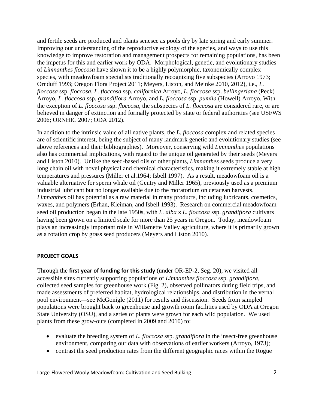and fertile seeds are produced and plants senesce as pools dry by late spring and early summer. Improving our understanding of the reproductive ecology of the species, and ways to use this knowledge to improve restoration and management prospects for remaining populations, has been the impetus for this and earlier work by ODA. Morphological, genetic, and evolutionary studies of *Limnanthes floccosa* have shown it to be a highly polymorphic, taxonomically complex species, with meadowfoam specialists traditionally recognizing five subspecies (Arroyo 1973; Ornduff 1993; Oregon Flora Project 2011; Meyers, Liston, and Meinke 2010, 2012), i.e., *L. floccosa* ssp. *floccosa, L. floccosa* ssp. *californica* Arroyo, *L. floccosa* ssp. *bellingeriana* (Peck) Arroyo, *L. floccosa* ssp. *grandiflora* Arroyo, and *L. floccosa* ssp. *pumila* (Howell) Arroyo. With the exception of *L. floccosa* ssp. *floccosa*, the subspecies of *L. floccosa* are considered rare, or are believed in danger of extinction and formally protected by state or federal authorities (see USFWS 2006; ORNHIC 2007; ODA 2012).

In addition to the intrinsic value of all native plants, the *L. floccosa* complex and related species are of scientific interest, being the subject of many landmark genetic and evolutionary studies (see above references and their bibliographies). Moreover, conserving wild *Limnanthes* populations also has commercial implications, with regard to the unique oil generated by their seeds (Meyers and Liston 2010). Unlike the seed-based oils of other plants, *Limnanthes* seeds produce a very long chain oil with novel physical and chemical characteristics, making it extremely stable at high temperatures and pressures (Miller et al.1964; Isbell 1997). As a result, meadowfoam oil is a valuable alternative for sperm whale oil (Gentry and Miller 1965), previously used as a premium industrial lubricant but no longer available due to the moratorium on cetacean harvests. *Limnanthes* oil has potential as a raw material in many products, including lubricants, cosmetics, waxes, and polymers (Erhan, Kleiman, and Isbell 1993). Research on commercial meadowfoam seed oil production began in the late 1950s, with *L. alba* x *L. floccosa* ssp. *grandiflora* cultivars having been grown on a limited scale for more than 25 years in Oregon. Today, meadowfoam plays an increasingly important role in Willamette Valley agriculture, where it is primarily grown as a rotation crop by grass seed producers (Meyers and Liston 2010).

#### **PROJECT GOALS**

Through the **first year of funding for this study** (under OR-EP-2, Seg. 20), we visited all accessible sites currently supporting populations of *Limnanthes floccosa* ssp. *grandiflora*, collected seed samples for greenhouse work (Fig. 2), observed pollinators during field trips, and made assessments of preferred habitat, hydrological relationships, and distribution in the vernal pool environment—see McGonigle (2011) for results and discussion. Seeds from sampled populations were brought back to greenhouse and growth room facilities used by ODA at Oregon State University (OSU), and a series of plants were grown for each wild population. We used plants from these grow-outs (completed in 2009 and 2010) to:

- evaluate the breeding system of *L. floccosa* ssp. *grandiflora* in the insect-free greenhouse environment, comparing our data with observations of earlier workers (Arroyo, 1973);
- contrast the seed production rates from the different geographic races within the Rogue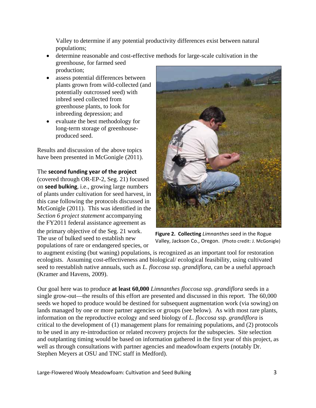Valley to determine if any potential productivity differences exist between natural populations;

- determine reasonable and cost-effective methods for large-scale cultivation in the greenhouse, for farmed seed production;
- assess potential differences between plants grown from wild-collected (and potentially outcrossed seed) with inbred seed collected from greenhouse plants, to look for inbreeding depression; and
- evaluate the best methodology for long-term storage of greenhouseproduced seed.

Results and discussion of the above topics have been presented in McGonigle  $(2011)$ .

# The **second funding year of the project**

(covered through OR-EP-2, Seg. 21) focused on **seed bulking**, i.e., growing large numbers of plants under cultivation for seed harvest, in this case following the protocols discussed in McGonigle (2011). This was identified in the *Section 6 project statement* accompanying the FY2011 federal assistance agreement as the primary objective of the Seg. 21 work. The use of bulked seed to establish new populations of rare or endangered species, or



**Figure 2. Collecting** *Limnanthes* seed in the Rogue Valley, Jackson Co., Oregon. (Photo credit: J. McGonigle)

to augment existing (but waning) populations, is recognized as an important tool for restoration ecologists. Assuming cost-effectiveness and biological/ ecological feasibility, using cultivated seed to reestablish native annuals, such as *L. floccosa* ssp. *grandiflora*, can be a useful approach (Kramer and Havens, 2009).

Our goal here was to produce **at least 60,000** *Limnanthes floccosa* ssp. *grandiflora* seeds in a single grow-out—the results of this effort are presented and discussed in this report. The 60,000 seeds we hoped to produce would be destined for subsequent augmentation work (via sowing) on lands managed by one or more partner agencies or groups (see below). As with most rare plants, information on the reproductive ecology and seed biology of *L. floccosa* ssp. *grandiflora* is critical to the development of (1) management plans for remaining populations, and (2) protocols to be used in any re-introduction or related recovery projects for the subspecies. Site selection and outplanting timing would be based on information gathered in the first year of this project, as well as through consultations with partner agencies and meadowfoam experts (notably Dr. Stephen Meyers at OSU and TNC staff in Medford).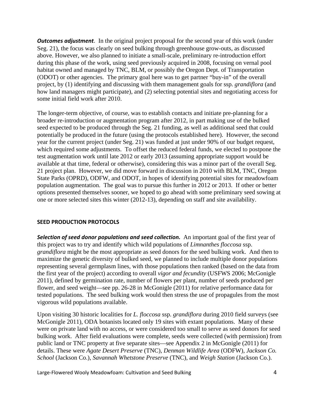*Outcomes adjustment*. In the original project proposal for the second year of this work (under Seg. 21), the focus was clearly on seed bulking through greenhouse grow-outs, as discussed above. However, we also planned to initiate a small-scale, preliminary re-introduction effort during this phase of the work, using seed previously acquired in 2008, focusing on vernal pool habitat owned and managed by TNC, BLM, or possibly the Oregon Dept. of Transportation (ODOT) or other agencies. The primary goal here was to get partner "buy-in" of the overall project, by (1) identifying and discussing with them management goals for ssp. *grandiflora* (and how land managers might participate), and (2) selecting potential sites and negotiating access for some initial field work after 2010.

The longer-term objective, of course, was to establish contacts and initiate pre-planning for a broader re-introduction or augmentation program after 2012, in part making use of the bulked seed expected to be produced through the Seg. 21 funding, as well as additional seed that could potentially be produced in the future (using the protocols established here). However, the second year for the current project (under Seg. 21) was funded at just under 90% of our budget request, which required some adjustments. To offset the reduced federal funds, we elected to postpone the test augmentation work until late 2012 or early 2013 (assuming appropriate support would be available at that time, federal or otherwise), considering this was a minor part of the overall Seg. 21 project plan. However, we did move forward in discussion in 2010 with BLM, TNC, Oregon State Parks (OPRD), ODFW, and ODOT, in hopes of identifying potential sites for meadowfoam population augmentation. The goal was to pursue this further in 2012 or 2013. If other or better options presented themselves sooner, we hoped to go ahead with some preliminary seed sowing at one or more selected sites this winter (2012-13), depending on staff and site availability.

#### **SEED PRODUCTION PROTOCOLS**

*Selection of seed donor populations and seed collection.* An important goal of the first year of this project was to try and identify which wild populations of *Limnanthes floccosa* ssp. *grandiflora* might be the most appropriate as seed donors for the seed bulking work. And then to maximize the genetic diversity of bulked seed, we planned to include multiple donor populations representing several germplasm lines, with those populations then ranked (based on the data from the first year of the project) according to overall *vigor and fecundity* (USFWS 2006; McGonigle 2011), defined by germination rate, number of flowers per plant, number of seeds produced per flower, and seed weight—see pp. 26-28 in McGonigle (2011) for relative performance data for tested populations. The seed bulking work would then stress the use of propagules from the most vigorous wild populations available.

Upon visiting 30 historic localities for *L. floccosa* ssp. *grandiflora* during 2010 field surveys (see McGonigle 2011), ODA botanists located only 19 sites with extant populations. Many of these were on private land with no access, or were considered too small to serve as seed donors for seed bulking work. After field evaluations were complete, seeds were collected (with permission) from public land or TNC property at five separate sites—see Appendix 2 in McGonigle (2011) for details. These were *Agate Desert Preserve* (TNC), *Denman Wildlife Area* (ODFW), *Jackson Co. School* (Jackson Co.), *Savannah Whetstone Preserve* (TNC), and *Weigh Station* (Jackson Co.).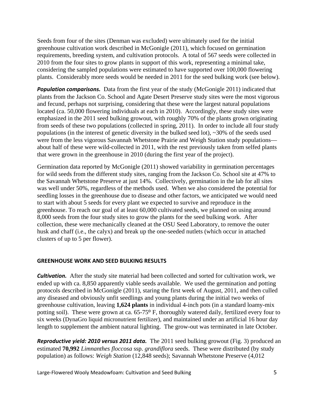Seeds from four of the sites (Denman was excluded) were ultimately used for the initial greenhouse cultivation work described in McGonigle (2011), which focused on germination requirements, breeding system, and cultivation protocols. A total of 567 seeds were collected in 2010 from the four sites to grow plants in support of this work, representing a minimal take, considering the sampled populations were estimated to have supported over 100,000 flowering plants. Considerably more seeds would be needed in 2011 for the seed bulking work (see below).

**Population comparisons.** Data from the first year of the study (McGonigle 2011) indicated that plants from the Jackson Co. School and Agate Desert Preserve study sites were the most vigorous and fecund, perhaps not surprising, considering that these were the largest natural populations located (ca. 50,000 flowering individuals at each in 2010). Accordingly, these study sites were emphasized in the 2011 seed bulking growout, with roughly 70% of the plants grown originating from seeds of these two populations (collected in spring, 2011). In order to include all four study populations (in the interest of genetic diversity in the bulked seed lot), ~30% of the seeds used were from the less vigorous Savannah Whetstone Prairie and Weigh Station study populations about half of these were wild-collected in 2011, with the rest previously taken from selfed plants that were grown in the greenhouse in 2010 (during the first year of the project).

Germination data reported by McGonigle (2011) showed variability in germination percentages for wild seeds from the different study sites, ranging from the Jackson Co. School site at 47% to the Savannah Whetstone Preserve at just 14%. Collectively, germination in the lab for all sites was well under 50%, regardless of the methods used. When we also considered the potential for seedling losses in the greenhouse due to disease and other factors, we anticipated we would need to start with about 5 seeds for every plant we expected to survive and reproduce in the greenhouse. To reach our goal of at least 60,000 cultivated seeds, we planned on using around 8,000 seeds from the four study sites to grow the plants for the seed bulking work. After collection, these were mechanically cleaned at the OSU Seed Laboratory, to remove the outer husk and chaff (i.e., the calyx) and break up the one-seeded nutlets (which occur in attached clusters of up to 5 per flower).

## **GREENHOUSE WORK AND SEED BULKING RESULTS**

*Cultivation.* After the study site material had been collected and sorted for cultivation work, we ended up with ca. 8,850 apparently viable seeds available. We used the germination and potting protocols described in McGonigle (2011), staring the first week of August, 2011, and then culled any diseased and obviously unfit seedlings and young plants during the initial two weeks of greenhouse cultivation, leaving **1,624 plants** in individual 4-inch pots (in a standard loamy-mix potting soil). These were grown at ca. 65-75º F, thoroughly watered daily, fertilized every four to six weeks (DynaGro liquid micronutrient fertilizer), and maintained under an artificial 16 hour day length to supplement the ambient natural lighting. The grow-out was terminated in late October.

*Reproductive yield: 2010 versus 2011 data.* The 2011 seed bulking growout (Fig. 3) produced an estimated **70,992** *Limnanthes floccosa* ssp. *grandiflora* seeds. These were distributed (by study population) as follows: *Weigh Station* (12,848 seeds); Savannah Whetstone Preserve (4,012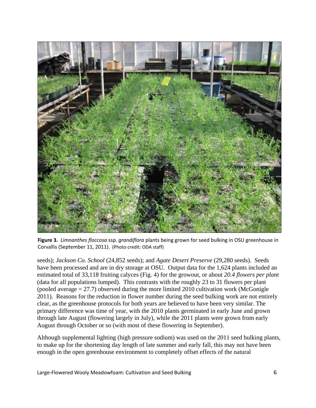

**Figure 3.** *Limnanthes floccosa* ssp. *grandiflora* plants being grown for seed bulking in OSU greenhouse in Corvallis (September 11, 2011). (Photo credit: ODA staff)

seeds); *Jackson Co. School* (24,852 seeds); and *Agate Desert Preserve* (29,280 seeds). Seeds have been processed and are in dry storage at OSU. Output data for the 1,624 plants included an estimated total of 33,118 fruiting calyces (Fig. 4) for the growout, or about *20.4 flowers per plant* (data for all populations lumped). This contrasts with the roughly 23 to 31 flowers per plant (pooled average  $= 27.7$ ) observed during the more limited 2010 cultivation work (McGonigle 2011). Reasons for the reduction in flower number during the seed bulking work are not entirely clear, as the greenhouse protocols for both years are believed to have been very similar. The primary difference was time of year, with the 2010 plants germinated in early June and grown through late August (flowering largely in July), while the 2011 plants were grown from early August through October or so (with most of these flowering in September).

Although supplemental lighting (high pressure sodium) was used on the 2011 seed bulking plants, to make up for the shortening day length of late summer and early fall, this may not have been enough in the open greenhouse environment to completely offset effects of the natural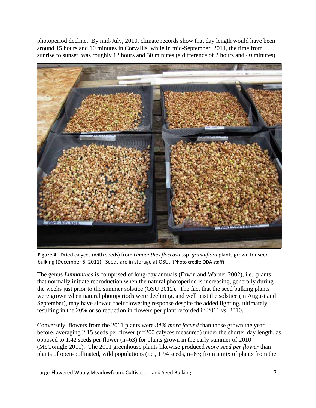photoperiod decline. By mid-July, 2010, climate records show that day length would have been around 15 hours and 10 minutes in Corvallis, while in mid-September, 2011, the time from sunrise to sunset was roughly 12 hours and 30 minutes (a difference of 2 hours and 40 minutes).



**Figure 4.** Dried calyces (with seeds) from *Limnanthes floccosa* ssp. *grandiflora* plants grown for seed bulking (December 5, 2011). Seeds are in storage at OSU. (Photo credit: ODA staff)

The genus *Limnanthes* is comprised of long-day annuals (Erwin and Warner 2002), i.e., plants that normally initiate reproduction when the natural photoperiod is increasing, generally during the weeks just prior to the summer solstice (OSU 2012). The fact that the seed bulking plants were grown when natural photoperiods were declining, and well past the solstice (in August and September), may have slowed their flowering response despite the added lighting, ultimately resulting in the 20% or so reduction in flowers per plant recorded in 2011 *vs.* 2010.

Conversely, flowers from the 2011 plants were *34% more fecund* than those grown the year before, averaging 2.15 seeds per flower (n=200 calyces measured) under the shorter day length, as opposed to 1.42 seeds per flower (n=63) for plants grown in the early summer of 2010 (McGonigle 2011). The 2011 greenhouse plants likewise produced *more seed per flower* than plants of open-pollinated, wild populations (i.e., 1.94 seeds, n=63; from a mix of plants from the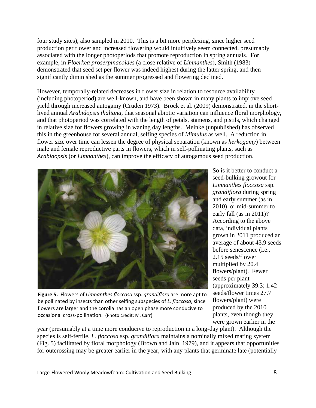four study sites), also sampled in 2010. This is a bit more perplexing, since higher seed production per flower and increased flowering would intuitively seem connected, presumably associated with the longer photoperiods that promote reproduction in spring annuals. For example, in *Floerkea proserpinacoides* (a close relative of *Limnanthes*), Smith (1983) demonstrated that seed set per flower was indeed highest during the latter spring, and then significantly diminished as the summer progressed and flowering declined.

However, temporally-related decreases in flower size in relation to resource availability (including photoperiod) are well-known, and have been shown in many plants to improve seed yield through increased autogamy (Cruden 1973). Brock et al. (2009) demonstrated, in the shortlived annual *Arabidopsis thaliana*, that seasonal abiotic variation can influence floral morphology, and that photoperiod was correlated with the length of petals, stamens, and pistils, which changed in relative size for flowers growing in waning day lengths. Meinke (unpublished) has observed this in the greenhouse for several annual, selfing species of *Mimulus* as well. A reduction in flower size over time can lessen the degree of physical separation (known as *herkogamy*) between male and female reproductive parts in flowers, which in self-pollinating plants, such as *Arabidopsis* (or *Limnanthes*), can improve the efficacy of autogamous seed production.



**Figure 5.** Flowers of *Limnanthes floccosa* ssp. *grandiflora* are more apt to be pollinated by insects than other selfing subspecies of *L. floccosa*, since flowers are larger and the corolla has an open phase more conducive to occasional cross‐pollination. (Photo credit: M. Carr)

So is it better to conduct a seed-bulking growout for *Limnanthes floccosa* ssp. *grandiflora* during spring and early summer (as in 2010), or mid-summer to early fall (as in 2011)? According to the above data, individual plants grown in 2011 produced an average of about 43.9 seeds before senescence (i.e., 2.15 seeds/flower multiplied by 20.4 flowers/plant). Fewer seeds per plant (approximately 39.3; 1.42 seeds/flower times 27.7 flowers/plant) were produced by the 2010 plants, even though they were grown earlier in the

year (presumably at a time more conducive to reproduction in a long-day plant). Although the species is self-fertile, *L. floccosa* ssp. *grandiflora* maintains a nominally mixed mating system (Fig. 5) facilitated by floral morphology (Brown and Jain 1979), and it appears that opportunities for outcrossing may be greater earlier in the year, with any plants that germinate late (potentially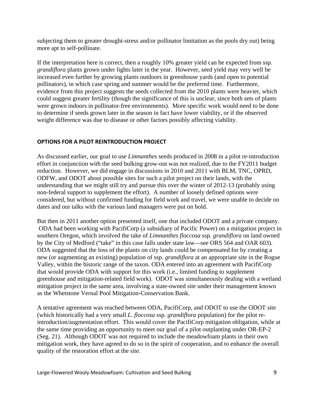subjecting them to greater drought-stress and/or pollinator limitation as the pools dry out) being more apt to self-pollinate.

If the interpretation here is correct, then a roughly 10% greater yield can be expected from ssp. *grandiflora* plants grown under lights later in the year. However, seed yield may very well be increased even further by growing plants outdoors in greenhouse yards (and open to potential pollinators), in which case spring and summer would be the preferred time. Furthermore, evidence from this project suggests the seeds collected from the 2010 plants were heavier, which could suggest greater fertility (though the significance of this is unclear, since both sets of plants were grown indoors in pollinator-free environments). More specific work would need to be done to determine if seeds grown later in the season in fact have lower viability, or if the observed weight difference was due to disease or other factors possibly affecting viability.

## **OPTIONS FOR A PILOT REINTRODUCTION PROJECT**

As discussed earlier, our goal to use *Limnanthes* seeds produced in 2008 in a pilot re-introduction effort in conjunction with the seed bulking grow-out was not realized, due to the FY2011 budget reduction. However, we did engage in discussions in 2010 and 2011 with BLM, TNC, OPRD, ODFW, and ODOT about possible sites for such a pilot project on their lands, with the understanding that we might still try and pursue this over the winter of 2012-13 (probably using non-federal support to supplement the effort). A number of loosely defined options were considered, but without confirmed funding for field work and travel, we were unable to decide on dates and our talks with the various land managers were put on hold.

But then in 2011 another option presented itself, one that included ODOT and a private company. ODA had been working with PacifiCorp (a subsidiary of Pacific Power) on a mitigation project in southern Oregon, which involved the take of *Limnanthes floccosa* ssp*. grandiflora* on land owned by the City of Medford ("take" in this case falls under state law—see ORS 564 and OAR 603). ODA suggested that the loss of the plants on city lands could be compensated for by creating a new (or augmenting an existing) population of ssp. *grandiflora* at an appropriate site in the Rogue Valley, within the historic range of the taxon. ODA entered into an agreement with PacifiCorp that would provide ODA with support for this work (i.e., limited funding to supplement greenhouse and mitigation-related field work). ODOT was simultaneously dealing with a wetland mitigation project in the same area, involving a state-owned site under their management known as the Whetstone Vernal Pool Mitigation-Conservation Bank.

A tentative agreement was reached between ODA, PacifiCorp, and ODOT to use the ODOT site (which historically had a very small *L. floccosa* ssp. *grandiflora* population) for the pilot reintroduction/augmentation effort. This would cover the PacifiCorp mitigation obligation, while at the same time providing an opportunity to meet our goal of a pilot outplanting under OR-EP-2 (Seg. 21). Although ODOT was not required to include the meadowfoam plants in their own mitigation work, they have agreed to do so in the spirit of cooperation, and to enhance the overall quality of the restoration effort at the site.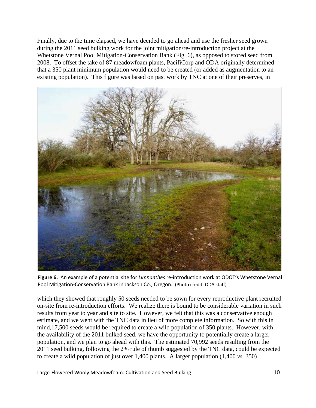Finally, due to the time elapsed, we have decided to go ahead and use the fresher seed grown during the 2011 seed bulking work for the joint mitigation/re-introduction project at the Whetstone Vernal Pool Mitigation-Conservation Bank (Fig. 6), as opposed to stored seed from 2008. To offset the take of 87 meadowfoam plants, PacifiCorp and ODA originally determined that a 350 plant minimum population would need to be created (or added as augmentation to an existing population). This figure was based on past work by TNC at one of their preserves, in



**Figure 6.** An example of a potential site for *Limnanthes* re‐introduction work at ODOT's Whetstone Vernal Pool Mitigation‐Conservation Bank in Jackson Co., Oregon. (Photo credit: ODA staff)

which they showed that roughly 50 seeds needed to be sown for every reproductive plant recruited on-site from re-introduction efforts. We realize there is bound to be considerable variation in such results from year to year and site to site. However, we felt that this was a conservative enough estimate, and we went with the TNC data in lieu of more complete information. So with this in mind,17,500 seeds would be required to create a wild population of 350 plants. However, with the availability of the 2011 bulked seed, we have the opportunity to potentially create a larger population, and we plan to go ahead with this. The estimated 70,992 seeds resulting from the 2011 seed bulking, following the 2% rule of thumb suggested by the TNC data, could be expected to create a wild population of just over 1,400 plants. A larger population (1,400 *vs.* 350)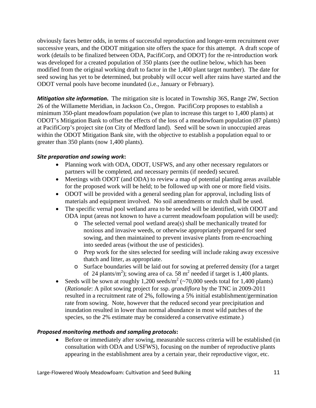obviously faces better odds, in terms of successful reproduction and longer-term recruitment over successive years, and the ODOT mitigation site offers the space for this attempt. A draft scope of work (details to be finalized between ODA, PacifiCorp, and ODOT) for the re-introduction work was developed for a created population of 350 plants (see the outline below, which has been modified from the original working draft to factor in the 1,400 plant target number). The date for seed sowing has yet to be determined, but probably will occur well after rains have started and the ODOT vernal pools have become inundated (i.e., January or February).

*Mitigation site information***.** The mitigation site is located in Township 36S, Range 2W, Section 26 of the Willamette Meridian, in Jackson Co., Oregon. PacifiCorp proposes to establish a minimum 350-plant meadowfoam population (we plan to increase this target to 1,400 plants) at ODOT's Mitigation Bank to offset the effects of the loss of a meadowfoam population (87 plants) at PacifiCorp's project site (on City of Medford land). Seed will be sown in unoccupied areas within the ODOT Mitigation Bank site, with the objective to establish a population equal to or greater than 350 plants (now 1,400 plants).

## *Site preparation and sowing work***:**

- Planning work with ODA, ODOT, USFWS, and any other necessary regulators or partners will be completed, and necessary permits (if needed) secured.
- Meetings with ODOT (and ODA) to review a map of potential planting areas available for the proposed work will be held; to be followed up with one or more field visits.
- ODOT will be provided with a general seeding plan for approval, including lists of materials and equipment involved. No soil amendments or mulch shall be used.
- The specific vernal pool wetland area to be seeded will be identified, with ODOT and ODA input (areas not known to have a current meadowfoam population will be used):
	- o The selected vernal pool wetland area(s) shall be mechanically treated for noxious and invasive weeds, or otherwise appropriately prepared for seed sowing, and then maintained to prevent invasive plants from re-encroaching into seeded areas (without the use of pesticides).
	- o Prep work for the sites selected for seeding will include raking away excessive thatch and litter, as appropriate.
	- o Surface boundaries will be laid out for sowing at preferred density (for a target of 24 plants/m<sup>2</sup>); sowing area of ca. 58 m<sup>2</sup> needed if target is 1,400 plants.
- Seeds will be sown at roughly  $1,200$  seeds/ $m^2$  (~70,000 seeds total for 1,400 plants) (*Rationale*: A pilot sowing project for ssp. *grandiflora* by the TNC in 2009-2011 resulted in a recruitment rate of 2%, following a 5% initial establishment/germination rate from sowing. Note, however that the reduced second year precipitation and inundation resulted in lower than normal abundance in most wild patches of the species, so the 2% estimate may be considered a conservative estimate.)

#### *Proposed monitoring methods and sampling protocols***:**

 Before or immediately after sowing, measurable success criteria will be established (in consultation with ODA and USFWS), focusing on the number of reproductive plants appearing in the establishment area by a certain year, their reproductive vigor, etc.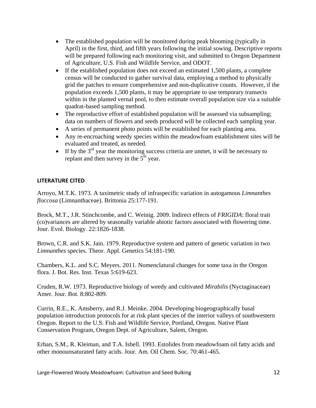- The established population will be monitored during peak blooming (typically in April) in the first, third, and fifth years following the initial sowing. Descriptive reports will be prepared following each monitoring visit, and submitted to Oregon Department of Agriculture, U.S. Fish and Wildlife Service, and ODOT.
- If the established population does not exceed an estimated 1,500 plants, a complete census will be conducted to gather survival data, employing a method to physically grid the patches to ensure comprehensive and non-duplicative counts. However, if the population exceeds 1,500 plants, it may be appropriate to use temporary transects within in the planted vernal pool, to then estimate overall population size via a suitable quadrat-based sampling method.
- The reproductive effort of established population will be assessed via subsampling; data on numbers of flowers and seeds produced will be collected each sampling year.
- A series of permanent photo points will be established for each planting area.
- Any re-encroaching weedy species within the meadowfoam establishment sites will be evaluated and treated, as needed.
- If by the  $3<sup>rd</sup>$  year the monitoring success criteria are unmet, it will be necessary to replant and then survey in the  $5<sup>th</sup>$  year.

# **LITERATURE CITED**

Arroyo, M.T.K. 1973. A taximetric study of infraspecific variation in autogamous *Limnanthes floccosa* (Limnanthaceae). Brittonia 25:177-191.

Brock, M.T., J.R. Stinchcombe, and C. Weinig. 2009. Indirect effects of *FRIGIDA*: floral trait (co)variances are altered by seasonally variable abiotic factors associated with flowering time. Jour. Evol. Biology. 22:1826-1838.

Brown, C.R. and S.K. Jain. 1979. Reproductive system and pattern of genetic variation in two *Limnanthes* species. Theor. Appl. Genetics 54:181-190.

Chambers, K.L. and S.C. Meyers. 2011. Nomenclatural changes for some taxa in the Oregon flora. J. Bot. Res. Inst. Texas 5:619-623.

Cruden, R.W. 1973. Reproductive biology of weedy and cultivated *Mirabilis* (Nyctaginaceae) Amer. Jour. Bot. 8:802-809.

Currin, R.E., K. Amsberry, and R.J. Meinke. 2004. Developing biogeographically basal population introduction protocols for at risk plant species of the interior valleys of southwestern Oregon. Report to the U.S. Fish and Wildlife Service, Portland, Oregon. Native Plant Conservation Program, Oregon Dept. of Agriculture, Salem, Oregon.

Erhan, S.M., R. Kleiman, and T.A. Isbell. 1993. Estolides from meadowfoam oil fatty acids and other monounsaturated fatty acids. Jour. Am. Oil Chem. Soc. 70:461-465.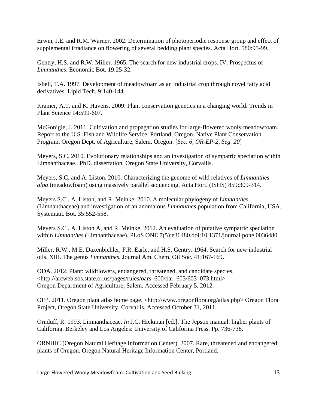Erwin, J.E. and R.M. Warner. 2002. Determination of photoperiodic response group and effect of supplemental irradiance on flowering of several bedding plant species. Acta Hort. 580:95-99.

Gentry, H.S. and R.W. Miller. 1965. The search for new industrial crops. IV. Prospectus of *Limnanthes*. Economic Bot. 19:25-32.

Isbell, T.A. 1997. Development of meadowfoam as an industrial crop through novel fatty acid derivatives. Lipid Tech. 9:140-144.

Kramer, A.T. and K. Havens. 2009. Plant conservation genetics in a changing world. Trends in Plant Science 14:599-607.

McGonigle, J. 2011. Cultivation and propagation studies for large-flowered wooly meadowfoam. Report to the U.S. Fish and Wildlife Service, Portland, Oregon. Native Plant Conservation Program, Oregon Dept. of Agriculture, Salem, Oregon. [*Sec. 6, OR-EP-2, Seg. 20*]

Meyers, S.C. 2010. Evolutionary relationships and an investigation of sympatric speciation within Limnanthaceae. PhD. dissertation. Oregon State University, Corvallis.

Meyers, S.C. and A. Liston. 2010. Characterizing the genome of wild relatives of *Limnanthes alba* (meadowfoam) using massively parallel sequencing. Acta Hort. (ISHS) 859:309-314.

Meyers S.C., A. Liston, and R. Meinke. 2010. A molecular phylogeny of *Limnanthes* (Limnanthaceae) and investigation of an anomalous *Limnanthes* population from California, USA. Systematic Bot. 35:552-558.

Meyers S.C., A. Liston A, and R. Meinke. 2012. An evaluation of putative sympatric speciation within *Limnanthes* (Limnanthaceae). PLoS ONE 7(5):e36480.doi:10.1371/journal.pone.0036480

Miller, R.W., M.E. Daxenbichler, F.R. Earle, and H.S. Gentry. 1964. Search for new industrial oils. XIII. The genus *Limnanthes*. Journal Am. Chem. Oil Soc. 41:167-169.

ODA. 2012. Plant: wildflowers, endangered, threatened, and candidate species. <http://arcweb.sos.state.or.us/pages/rules/oars\_600/oar\_603/603\_073.html> Oregon Department of Agriculture, Salem. Accessed February 5, 2012.

OFP. 2011. Oregon plant atlas home page. <http://www.oregonflora.org/atlas.php> Oregon Flora Project, Oregon State University, Corvallis. Accessed October 31, 2011.

Ornduff, R. 1993. Limnanthaceae. *In* J.C. Hickman [ed.], The Jepson manual: higher plants of California. Berkeley and Los Angeles: University of California Press. Pp. 736-738.

ORNHIC (Oregon Natural Heritage Information Center). 2007. Rare, threatened and endangered plants of Oregon. Oregon Natural Heritage Information Center, Portland.